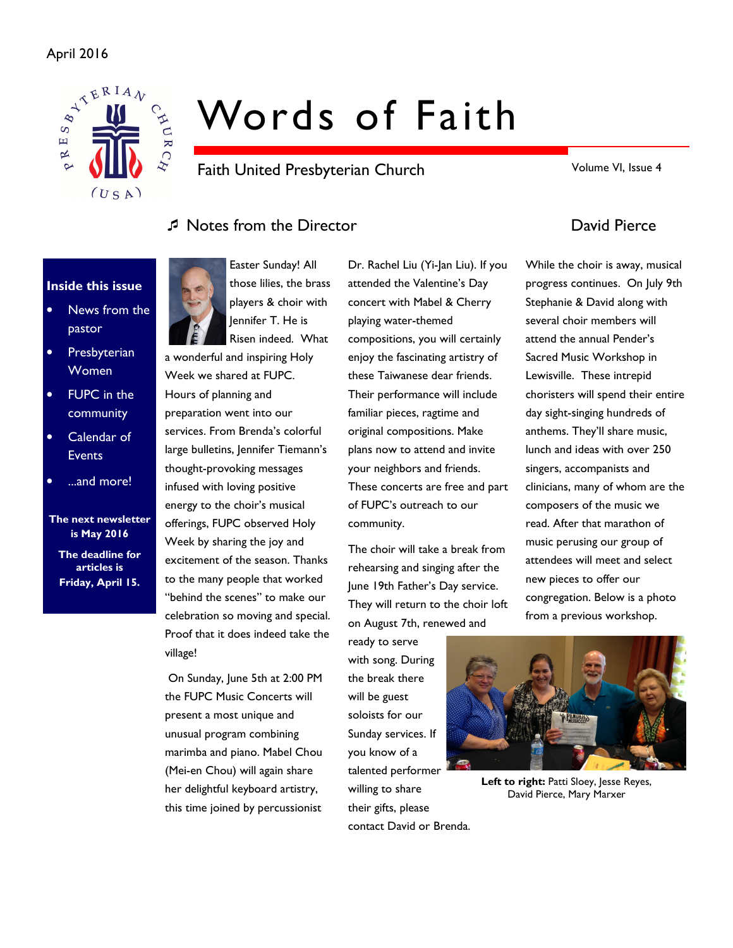### April 2016



# Words of Faith

Faith United Presbyterian Church

Volume VI, Issue 4

# Notes from the Director David Pierce

### Inside this issue

- News from the pastor
- Presbyterian Women
- **FUPC** in the community
- Calendar of **Events**
- ...and more!

### The next newsletter is May 2016 The deadline for articles is Friday, April 15.

Easter Sunday! All those lilies, the brass players & choir with Jennifer T. He is Risen indeed. What

a wonderful and inspiring Holy Week we shared at FUPC. Hours of planning and preparation went into our services. From Brenda's colorful large bulletins, Jennifer Tiemann's thought-provoking messages infused with loving positive energy to the choir's musical offerings, FUPC observed Holy Week by sharing the joy and excitement of the season. Thanks to the many people that worked "behind the scenes" to make our celebration so moving and special. Proof that it does indeed take the village!

 On Sunday, June 5th at 2:00 PM the FUPC Music Concerts will present a most unique and unusual program combining marimba and piano. Mabel Chou (Mei-en Chou) will again share her delightful keyboard artistry, this time joined by percussionist

Dr. Rachel Liu (Yi-Jan Liu). If you attended the Valentine's Day concert with Mabel & Cherry playing water-themed compositions, you will certainly enjoy the fascinating artistry of these Taiwanese dear friends. Their performance will include familiar pieces, ragtime and original compositions. Make These concerts are free and part community.

The choir will take a break from rehearsing and singing after the June 19th Father's Day service. They will return to the choir loft on August 7th, renewed and

ready to serve with song. During the break there will be guest soloists for our Sunday services. If you know of a talented performer willing to share their gifts, please contact David or Brenda.

While the choir is away, musical progress continues. On July 9th Stephanie & David along with several choir members will attend the annual Pender's Sacred Music Workshop in Lewisville. These intrepid choristers will spend their entire day sight-singing hundreds of anthems. They'll share music, lunch and ideas with over 250 singers, accompanists and clinicians, many of whom are the composers of the music we read. After that marathon of music perusing our group of attendees will meet and select new pieces to offer our congregation. Below is a photo from a previous workshop.



Left to right: Patti Sloey, Jesse Reyes, David Pierce, Mary Marxer

plans now to attend and invite your neighbors and friends. of FUPC's outreach to our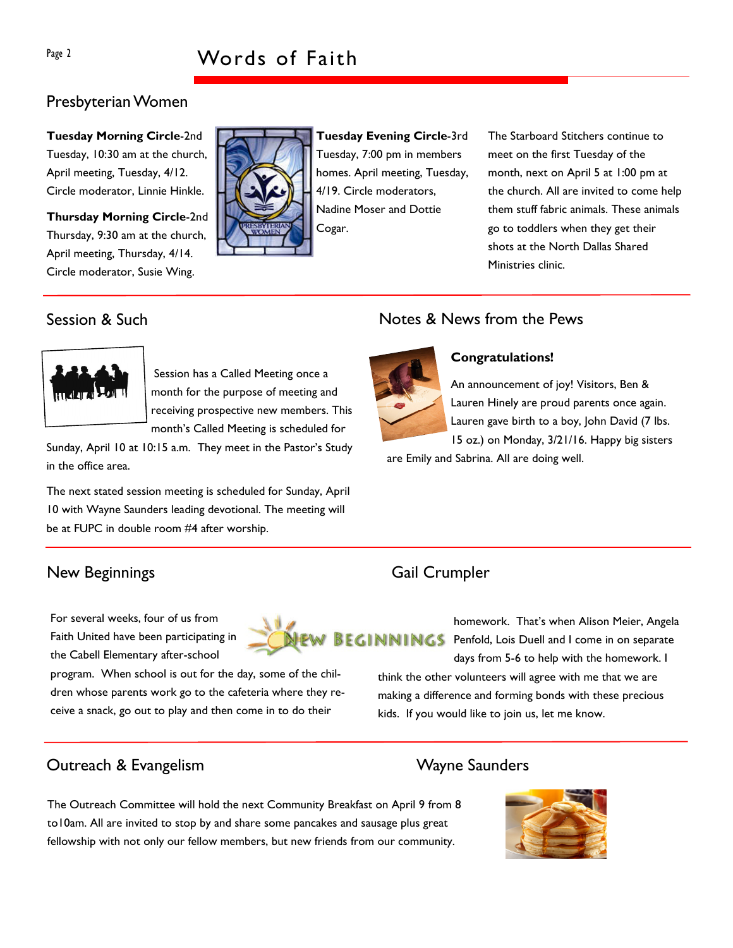### Presbyterian Women

Tuesday Morning Circle-2nd Tuesday, 10:30 am at the church, April meeting, Tuesday, 4/12. Circle moderator, Linnie Hinkle.

Thursday Morning Circle-2nd Thursday, 9:30 am at the church, April meeting, Thursday, 4/14. Circle moderator, Susie Wing.

Tuesday Evening Circle-3rd Tuesday, 7:00 pm in members homes. April meeting, Tuesday, 4/19. Circle moderators, Nadine Moser and Dottie Cogar.

The Starboard Stitchers continue to meet on the first Tuesday of the month, next on April 5 at 1:00 pm at the church. All are invited to come help them stuff fabric animals. These animals go to toddlers when they get their shots at the North Dallas Shared Ministries clinic.

# Session & Such



Session has a Called Meeting once a month for the purpose of meeting and receiving prospective new members. This month's Called Meeting is scheduled for

Sunday, April 10 at 10:15 a.m. They meet in the Pastor's Study in the office area.

The next stated session meeting is scheduled for Sunday, April 10 with Wayne Saunders leading devotional. The meeting will be at FUPC in double room #4 after worship.

# New Beginnings Gail Crumpler

For several weeks, four of us from Faith United have been participating in the Cabell Elementary after-school

program. When school is out for the day, some of the children whose parents work go to the cafeteria where they receive a snack, go out to play and then come in to do their



homework. That's when Alison Meier, Angela BEGINNINGS Penfold, Lois Duell and I come in on separate days from 5-6 to help with the homework. I

> think the other volunteers will agree with me that we are making a difference and forming bonds with these precious kids. If you would like to join us, let me know.

# Outreach & Evangelism National State of Mayne Saunders





The Outreach Committee will hold the next Community Breakfast on April 9 from 8 to10am. All are invited to stop by and share some pancakes and sausage plus great fellowship with not only our fellow members, but new friends from our community.



# Congratulations!

Notes & News from the Pews

An announcement of joy! Visitors, Ben & Lauren Hinely are proud parents once again. Lauren gave birth to a boy, John David (7 lbs. 15 oz.) on Monday, 3/21/16. Happy big sisters

are Emily and Sabrina. All are doing well.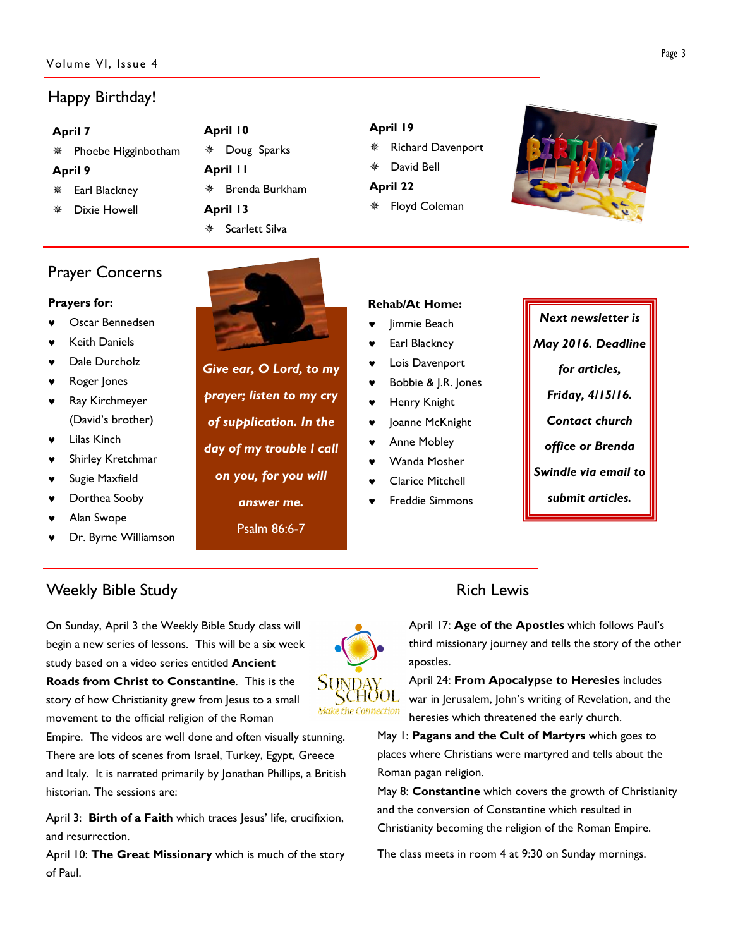### Volume VI, Issue 4

# Happy Birthday!

| ۰.<br>× |
|---------|
|---------|

|                | * Phoebe Higginbotham |  |  |  |  |  |
|----------------|-----------------------|--|--|--|--|--|
| <b>April 9</b> |                       |  |  |  |  |  |

- Earl Blackney
- Dixie Howell
- April 10 Doug Sparks April 11 Brenda Burkham April 13 **※ Scarlett Silva**

### April 19

- Richard Davenport
- David Bell
- April 22
- Floyd Coleman



# Prayer Concerns

### Prayers for:

- Oscar Bennedsen
- **Keith Daniels**
- Dale Durcholz
- Roger Jones
- ♥ Ray Kirchmeyer (David's brother)
- ♥ Lilas Kinch
- Shirley Kretchmar
- Sugie Maxfield
- Dorthea Sooby
- Alan Swope
- Dr. Byrne Williamson



Give ear, O Lord, to my prayer; listen to my cry of supplication. In the day of my trouble I call on you, for you will answer me. Psalm 86:6-7

### Rehab/At Home:

- Jimmie Beach
- Earl Blackney
- Lois Davenport
- Bobbie & J.R. Jones
- Henry Knight
- Joanne McKnight
- **Anne Mobley**
- Wanda Mosher
- **Clarice Mitchell**
- **Freddie Simmons**



# Weekly Bible Study **Rich Lewis Rich Lewis**

On Sunday, April 3 the Weekly Bible Study class will begin a new series of lessons. This will be a six week study based on a video series entitled **Ancient** Roads from Christ to Constantine. This is the story of how Christianity grew from Jesus to a small movement to the official religion of the Roman

Empire. The videos are well done and often visually stunning. There are lots of scenes from Israel, Turkey, Egypt, Greece and Italy. It is narrated primarily by Jonathan Phillips, a British historian. The sessions are:

April 3: Birth of a Faith which traces lesus' life, crucifixion, and resurrection.

April 10: The Great Missionary which is much of the story of Paul.

April 17: Age of the Apostles which follows Paul's third missionary journey and tells the story of the other apostles.

April 24: From Apocalypse to Heresies includes war in Jerusalem, John's writing of Revelation, and the heresies which threatened the early church.

May 1: Pagans and the Cult of Martyrs which goes to places where Christians were martyred and tells about the Roman pagan religion.

May 8: Constantine which covers the growth of Christianity and the conversion of Constantine which resulted in Christianity becoming the religion of the Roman Empire.

The class meets in room 4 at 9:30 on Sunday mornings.